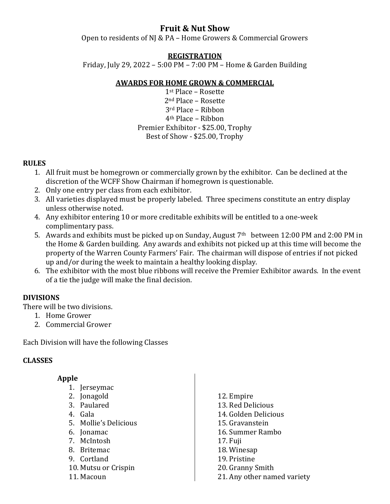# **Fruit & Nut Show**

Open to residents of NJ & PA – Home Growers & Commercial Growers

### **REGISTRATION**

Friday, July 29, 2022 – 5:00 PM – 7:00 PM – Home & Garden Building

## **AWARDS FOR HOME GROWN & COMMERCIAL**

st Place – Rosette nd Place – Rosette rd Place – Ribbon th Place – Ribbon Premier Exhibitor - \$25.00, Trophy Best of Show - \$25.00, Trophy

### **RULES**

- 1. All fruit must be homegrown or commercially grown by the exhibitor. Can be declined at the discretion of the WCFF Show Chairman if homegrown is questionable.
- 2. Only one entry per class from each exhibitor.
- 3. All varieties displayed must be properly labeled. Three specimens constitute an entry display unless otherwise noted.
- 4. Any exhibitor entering 10 or more creditable exhibits will be entitled to a one-week complimentary pass.
- 5. Awards and exhibits must be picked up on Sunday, August  $7<sup>th</sup>$  between 12:00 PM and 2:00 PM in the Home & Garden building. Any awards and exhibits not picked up at this time will become the property of the Warren County Farmers' Fair. The chairman will dispose of entries if not picked up and/or during the week to maintain a healthy looking display.
- 6. The exhibitor with the most blue ribbons will receive the Premier Exhibitor awards. In the event of a tie the judge will make the final decision.

## **DIVISIONS**

There will be two divisions.

- 1. Home Grower
- 2. Commercial Grower

Each Division will have the following Classes

## **CLASSES**

### **Apple**

- 1. Jerseymac
- 2. Jonagold
- 3. Paulared
- 4. Gala
- 5. Mollie's Delicious
- 6. Jonamac
- 7. McIntosh
- 8. Britemac
- 9. Cortland
- 10. Mutsu or Crispin
- 11. Macoun

12. Empire 13. Red Delicious 14. Golden Delicious 15. Gravanstein 16. Summer Rambo 17. Fuji 18. Winesap 19. Pristine 20. Granny Smith 21. Any other named variety